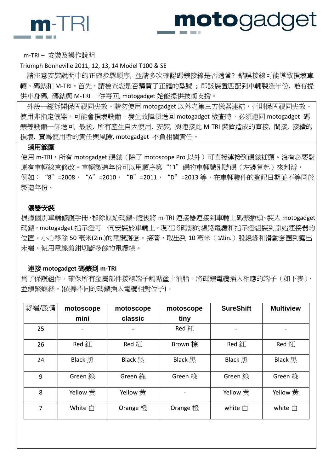

# motogadget

m-TRI – 安裝及操作說明

## Triumph Bonneville 2011, 12, 13, 14 Model T100 & SE

 請注意安裝說明中的正確步驟順序, 並請多次確認碼錶接線是否適當? 錯誤接線可能導致損壞車 輛、碼錶和 M-TRI。首先,請檢查您是否購買了正確的型號 ; 即該裝置匹配到車輛製造年份, 唯有提 供車身碼, 碼錶與 M-TRI 一併寄回, motogadget 始能提供技術支援。

外殼一經拆開保固視同失效。請勿使用 motogadget 以外之第三方儀器連結,否則保固視同失效。 使用非指定儀器,可能會損壞設備。發生故障須送回 motogadget 檢查時,必須連同 motogadget 碼 錶等設備一併送回, 最後, 所有產生自因使用, 安裝, 與連接此 M-TRI 裝置造成的直接, 間接, 接續的 損壞, 實為使用者的責任與風險, motogadget 不負相關責任。

## 適用範圍

使用 m-TRI,所有 motogadget 碼錶(除了 motoscope Pro 以外)可直接連接到碼錶插頭。沒有必要對 原有車輛線束修改。車輛製造年份可以用順序第"11"碼的車輛識別號碼(左邊算起)來判辨, 例如:"8"=2008,"A"=2010,"B"=2011,"D"=2013 等,在車輛證件的登記日期並不等同於 製造年份。

## 儀器安裝

根據個別車輛修護手冊,移除原始碼錶。隨後將 m-TRI 連接器連接到車輛上碼錶插頭。裝入 motogadget 碼錶,motogadget 指示燈可一同安裝於車輛上。現在將碼錶的線路電纜和指示燈組裝到原始連接器的 位置。小心移除 50 毫米(2in.)的雷纜護套。接著,取出到 10 毫米(1/2in.)股絕緣和滑動套圈到露出 末端。使用電線剪鉗切斷多餘的電纜線。

## 連接 **motogadget** 碼錶到 **m-TRI**

為了保護組件,確保所有金屬部件接線端子觸點塗上油脂。將碼錶電纜插入相應的端子 (如下表), 並鎖緊螺絲。(依據不同的碼錶插入電纜相對位子)。

| 終端/設備 | motoscope          | motoscope      | motoscope      | <b>SureShift</b>   | <b>Multiview</b>    |
|-------|--------------------|----------------|----------------|--------------------|---------------------|
|       | mini               | classic        | tiny           |                    |                     |
| 25    |                    |                | Red $#$        |                    |                     |
| 26    | $Red 2\frac{1}{2}$ | Red 紅          | Brown 棕        | Red 紅              | $Red 2\frac{1}{10}$ |
| 24    | <b>Black</b> 黑     | <b>Black</b> 黑 | <b>Black 黑</b> | <b>Black</b> 黑     | <b>Black</b> 黑      |
| 9     | Green 綠            | Green 綠        | Green 綠        | Green 綠            | Green 綠             |
| 8     | Yellow 黄           | Yellow 黄       |                | Yellow 黄           | Yellow 黄            |
| 7     | White $\triangleq$ | Orange 橙       | Orange 橙       | white $\triangleq$ | white $\triangleq$  |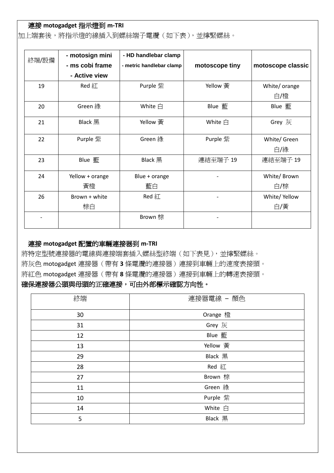# 連接 **motogadget** 指示燈到 **m-TRI**

加上端套後,將指示燈的線插入到螺絲端子電纜(如下表),並擰緊螺絲。

| 終端/設備 | - motosign mini<br>- ms cobi frame | - HD handlebar clamp<br>- metric handlebar clamp | motoscope tiny     | motoscope classic |
|-------|------------------------------------|--------------------------------------------------|--------------------|-------------------|
|       | - Active view                      |                                                  |                    |                   |
| 19    | Red 紅                              | Purple 紫                                         | Yellow 黄           | White/ orange     |
|       |                                    |                                                  |                    | 白/橙               |
| 20    | Green 綠                            | White $\triangleq$                               | Blue 藍             | Blue 藍            |
| 21    | Black $H$                          | Yellow 黃                                         | White $\triangleq$ | Grey 灰            |
| 22    | Purple 紫                           | Green 綠                                          | Purple 紫           | White/ Green      |
|       |                                    |                                                  |                    | 白/綠               |
| 23    | Blue 藍                             | <b>Black</b> 黑                                   | 連結至端子 19           | 連結至端子 19          |
| 24    | Yellow + orange                    | Blue + orange                                    |                    | White/ Brown      |
|       | 黃橙                                 | 藍白                                               |                    | 白/棕               |
| 26    | Brown + white                      | Red 紅                                            |                    | White/ Yellow     |
|       | 棕白                                 |                                                  |                    | 白/黄               |
|       |                                    | Brown 棕                                          |                    |                   |

## 連接 **motogadget** 配置的車輛連接器到 **m-TRI**

將特定型號連接器的電線與連接端套插入螺絲型終端(如下表見),並擰緊螺絲。 將灰色 motogadget 連接器(帶有 **3** 條電纜的連接器)連接到車輛上的速度表接頭。 將紅色 motogadget 連接器(帶有 **8** 條電纜的連接器)連接到車輛上的轉速表接頭。

# 確保連接器公頭與母頭的正確連接,可由外部標示確認方向性。

| 終端 | 連接器電線 - 顏色 |
|----|------------|
| 30 | Orange 橙   |
| 31 | Grey 灰     |
| 12 | Blue 藍     |
| 13 | Yellow 黄   |
| 29 | Black 黑    |
| 28 | Red 紅      |
| 27 | Brown 棕    |
| 11 | Green 綠    |
| 10 | Purple 紫   |
| 14 | White 白    |
| 5  | Black 黑    |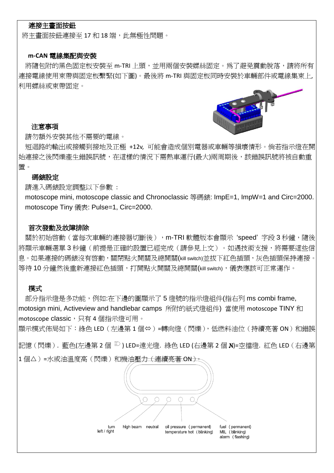## 連接主畫面按鈕

將主書面按鈕連接至 17 和 18 端, 此無極性問題。

## **m-CAN** 電線集配與安裝

將隨包附的黑色固定板安裝至 m-TRI 上頭,並用兩個安裝螺絲固定。為了避免震動脫落,請將所有 連接電線使用束帶與固定板繫緊(如下圖)。最後將 m-TRI 與固定板同時安裝於車輛部件或電線集束上, 利用螺絲或束帶固定。

### 注意事項



請勿額外安裝其他不需要的電線。

 短迴路的輸出或接觸到接地及正極 +12v, 可能會造成個別電器或車輛等損壞情形。倘若指示燈在開 始連接之後閃爍產生錯誤訊號,在這樣的情況下需熱車運行(最大)兩周期後,該錯誤訊號將被自動重 置。

#### 碼錶設定

請進入碼錶設定調整以下參數 :

 motoscope mini, motoscope classic and Chronoclassic 等碼錶: ImpE=1, ImpW=1 and Circ=2000. motoscope Tiny 儀表: Pulse=1, Circ=2000.

## 首次發動及故障排除

關於初始啓動(當每次車輛的連接器切斷後),m-TRI 軟體版本會顯示 'speed' 字段 3 秒鐘,隨後 將顯示車輛選單3秒鐘(前提是正確的設置已經完成(請參見上文)。如遇技術支援,將需要這些信 息。如果連接的碼錶沒有啓動,關閉點火開關及總開關(kill switch)並拔下紅色插頭,灰色插頭保持連接。 等待 10 分鐘然後重新連接紅色插頭,打開點火開關及總開關(kill switch),儀表應該可正常運作。

## 模式

部分指示燈是多功能,例如:在下邊的圖顯示了5 燈號的指示燈組件(指右列 ms combi frame, motosign mini, Activeview and handlebar camps 所附的紙式燈組件) 當使用 motoscope TINY 和 motoscope classic,只有4個指示燈可用。

顯示模式佈局如下: 綠色 LED ( 左邊第 1 個⇔ ) =轉向燈 ( 閃爍 ), 低燃料油位 ( 持續亮著 ON ) 和錯誤

記憶 (閃爍). 藍色(左邊第 2 個 <sup>記</sup>) LED=遠光燈. 綠色 LED (右邊第 2 個 N)=空擋燈. 紅色 LED (右邊第 1個△)=水或油溫度高(閃爍)和機油壓力(連續亮著 ON)。

> O  $\bigcirc$  $\bigcap$ turn high beam neutral oil pressure (permanent) fuel (permanent) left / right temperature hot (blinking) MIL (blinking) alarm (flashing)